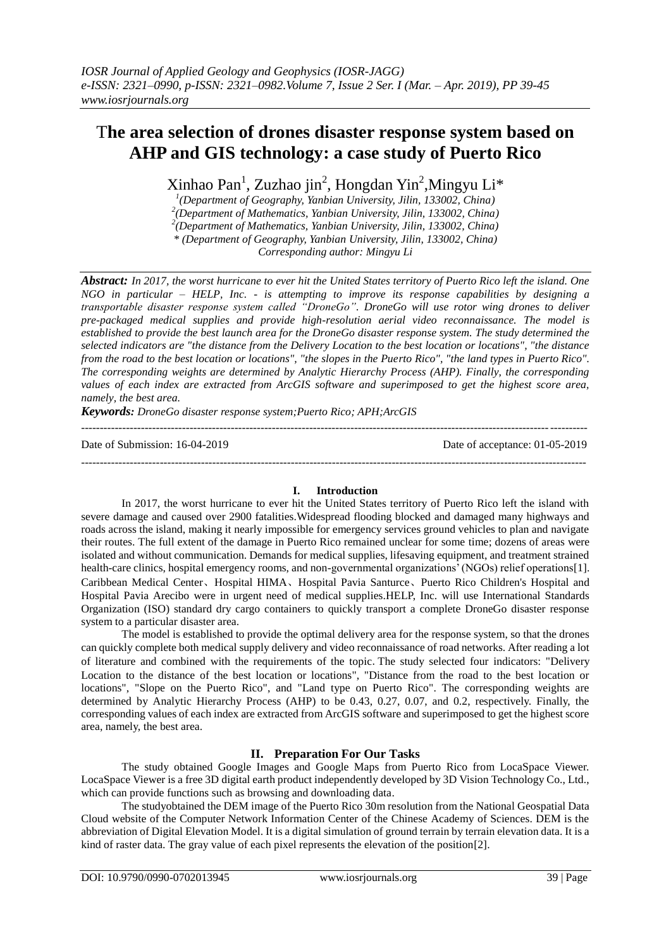# T**he area selection of drones disaster response system based on AHP and GIS technology: a case study of Puerto Rico**

Xinhao Pan<sup>1</sup>, Zuzhao jin<sup>2</sup>, Hongdan Yin<sup>2</sup>, Mingyu Li\*

*1 (Department of Geography, Yanbian University, Jilin, 133002, China) 2 (Department of Mathematics, Yanbian University, Jilin, 133002, China) 2 (Department of Mathematics, Yanbian University, Jilin, 133002, China)*

*\* (Department of Geography, Yanbian University, Jilin, 133002, China)*

*Corresponding author: Mingyu Li*

*Abstract: In 2017, the worst hurricane to ever hit the United States territory of Puerto Rico left the island. One NGO in particular – HELP, Inc. - is attempting to improve its response capabilities by designing a transportable disaster response system called "DroneGo". DroneGo will use rotor wing drones to deliver pre-packaged medical supplies and provide high-resolution aerial video reconnaissance. The model is established to provide the best launch area for the DroneGo disaster response system. The study determined the selected indicators are "the distance from the Delivery Location to the best location or locations", "the distance from the road to the best location or locations", "the slopes in the Puerto Rico", "the land types in Puerto Rico". The corresponding weights are determined by Analytic Hierarchy Process (AHP). Finally, the corresponding values of each index are extracted from ArcGIS software and superimposed to get the highest score area, namely, the best area.*

*Keywords: DroneGo disaster response system;Puerto Rico; APH;ArcGIS*

Date of Submission: 16-04-2019 Date of acceptance: 01-05-2019

---------------------------------------------------------------------------------------------------------------------------------------

### **I. Introduction**

---------------------------------------------------------------------------------------------------------------------------------------

In 2017, the worst hurricane to ever hit the United States territory of Puerto Rico left the island with severe damage and caused over 2900 fatalities.Widespread flooding blocked and damaged many highways and roads across the island, making it nearly impossible for emergency services ground vehicles to plan and navigate their routes. The full extent of the damage in Puerto Rico remained unclear for some time; dozens of areas were isolated and without communication. Demands for medical supplies, lifesaving equipment, and treatment strained health-care clinics, hospital emergency rooms, and non-governmental organizations' (NGOs) relief operation[s\[1\].](#page-5-0) Caribbean Medical Center、Hospital HIMA、Hospital Pavia Santurce、Puerto Rico Children's Hospital and Hospital Pavia Arecibo were in urgent need of medical supplies.HELP, Inc. will use International Standards Organization (ISO) standard dry cargo containers to quickly transport a complete DroneGo disaster response system to a particular disaster area.

The model is established to provide the optimal delivery area for the response system, so that the drones can quickly complete both medical supply delivery and video reconnaissance of road networks. After reading a lot of literature and combined with the requirements of the topic.The study selected four indicators: "Delivery Location to the distance of the best location or locations", "Distance from the road to the best location or locations", "Slope on the Puerto Rico", and "Land type on Puerto Rico". The corresponding weights are determined by Analytic Hierarchy Process (AHP) to be 0.43, 0.27, 0.07, and 0.2, respectively. Finally, the corresponding values of each index are extracted from ArcGIS software and superimposed to get the highest score area, namely, the best area.

# **II. Preparation For Our Tasks**

The study obtained Google Images and Google Maps from Puerto Rico from LocaSpace Viewer. LocaSpace Viewer is a free 3D digital earth product independently developed by 3D Vision Technology Co., Ltd., which can provide functions such as browsing and downloading data.

The studyobtained the DEM image of the Puerto Rico 30m resolution from the National Geospatial Data Cloud website of the Computer Network Information Center of the Chinese Academy of Sciences. DEM is the abbreviation of Digital Elevation Model. It is a digital simulation of ground terrain by terrain elevation data. It is a kind of raster data. The gray value of each pixel represents the elevation of the position [2].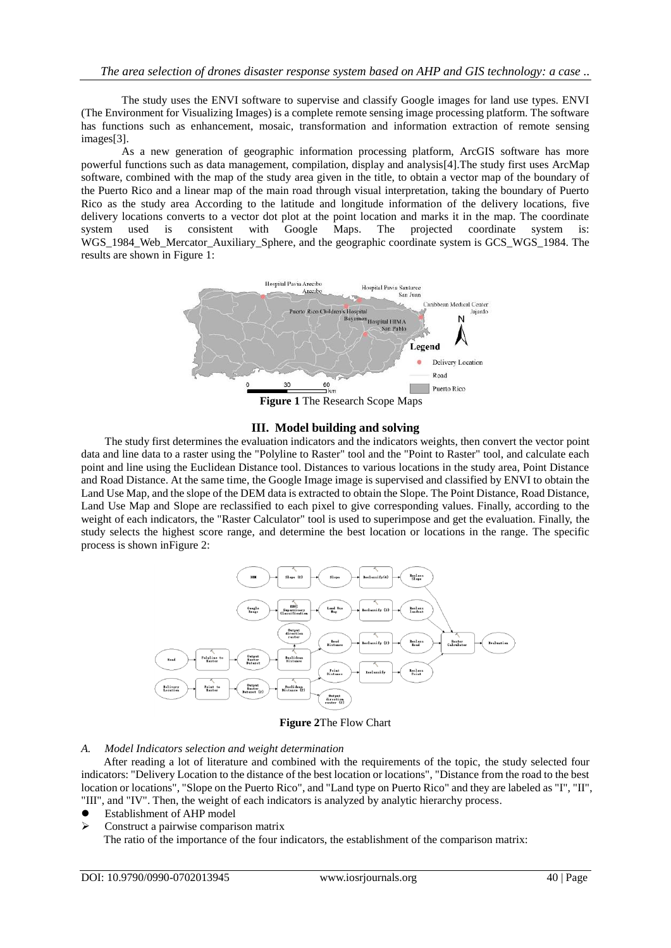The study uses the ENVI software to supervise and classify Google images for land use types. ENVI (The Environment for Visualizing Images) is a complete remote sensing image processing platform. The software has functions such as enhancement, mosaic, transformation and information extraction of remote sensing image[s\[3\].](#page-5-1)

As a new generation of geographic information processing platform, ArcGIS software has more powerful functions such as data management, compilation, display and analysi[s\[4\].T](#page-5-2)he study first uses ArcMap software, combined with the map of the study area given in the title, to obtain a vector map of the boundary of the Puerto Rico and a linear map of the main road through visual interpretation, taking the boundary of Puerto Rico as the study area According to the latitude and longitude information of the delivery locations, five delivery locations converts to a vector dot plot at the point location and marks it in the map. The coordinate system used is consistent with Google Maps. The projected coordinate system is: WGS 1984 Web Mercator Auxiliary Sphere, and the geographic coordinate system is GCS WGS 1984. The results are shown in [Figure 1:](#page-1-0)



**Figure 1** The Research Scope Maps

# **III. Model building and solving**

<span id="page-1-0"></span>The study first determines the evaluation indicators and the indicators weights, then convert the vector point data and line data to a raster using the "Polyline to Raster" tool and the "Point to Raster" tool, and calculate each point and line using the Euclidean Distance tool. Distances to various locations in the study area, Point Distance and Road Distance. At the same time, the Google Image image is supervised and classified by ENVI to obtain the Land Use Map, and the slope of the DEM data is extracted to obtain the Slope. The Point Distance, Road Distance, Land Use Map and Slope are reclassified to each pixel to give corresponding values. Finally, according to the weight of each indicators, the "Raster Calculator" tool is used to superimpose and get the evaluation. Finally, the study selects the highest score range, and determine the best location or locations in the range. The specific process is shown i[nFigure 2:](#page-1-1)



**Figure 2**The Flow Chart

### <span id="page-1-1"></span>*A. Model Indicators selection and weight determination*

After reading a lot of literature and combined with the requirements of the topic, the study selected four indicators: "Delivery Location to the distance of the best location or locations", "Distance from the road to the best location or locations", "Slope on the Puerto Rico", and "Land type on Puerto Rico" and they are labeled as "I", "II", "III", and "IV". Then, the weight of each indicators is analyzed by analytic hierarchy process.

- Establishment of AHP model
- $\triangleright$  Construct a pairwise comparison matrix

The ratio of the importance of the four indicators, the establishment of the comparison matrix: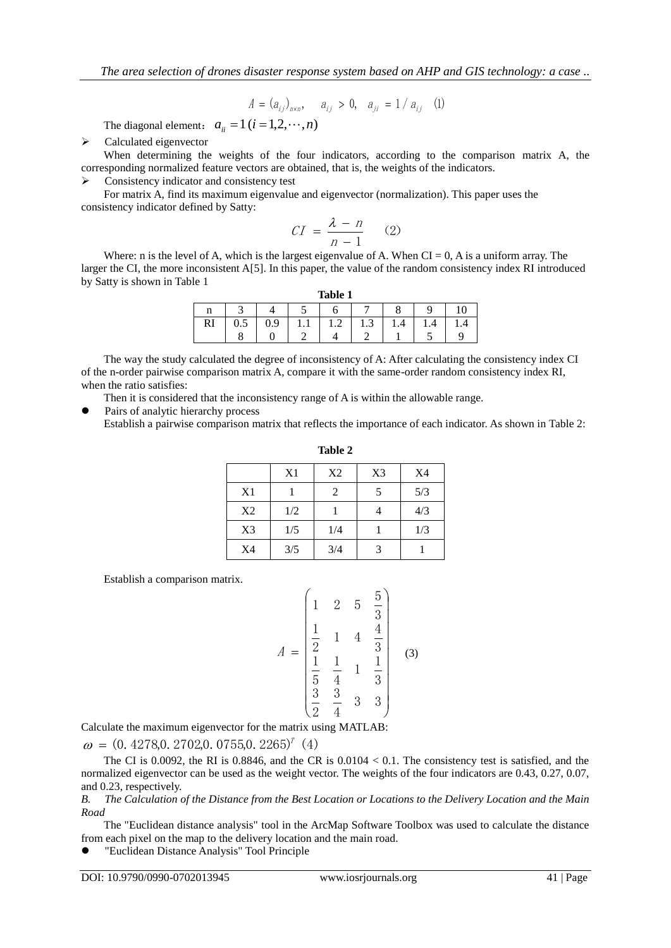$$
A = (a_{ij})_{n \times n}, \quad a_{ij} > 0, \quad a_{ji} = 1 / a_{ij} \quad (1)
$$

$$
CI = \frac{\lambda - n}{n - 1} \qquad (2)
$$

<span id="page-2-1"></span><span id="page-2-0"></span>

| Table 1       |           |     |     |                  |                |     |     |     |  |
|---------------|-----------|-----|-----|------------------|----------------|-----|-----|-----|--|
| n             |           |     | - 1 |                  |                |     |     | 10  |  |
| <sub>RI</sub> | $\rm 0.5$ | 0.9 | 1.1 | $\bigcap$<br>1.2 | 1.3            | 1.4 | 1.4 | 1.4 |  |
|               | $\Omega$  |     | ⌒   |                  | $\overline{ }$ |     |     |     |  |

|                       |                                                                                                                                                                                                                                                                                                                                                                                                                                                                                                    |         |                |              |                | $A = (a_{ij})_{n \times n}$ , $a_{ij} > 0$ , $a_{ji} = 1 / a_{ij}$ (1)                                                                                                                                                                |               |          |              |           |             |
|-----------------------|----------------------------------------------------------------------------------------------------------------------------------------------------------------------------------------------------------------------------------------------------------------------------------------------------------------------------------------------------------------------------------------------------------------------------------------------------------------------------------------------------|---------|----------------|--------------|----------------|---------------------------------------------------------------------------------------------------------------------------------------------------------------------------------------------------------------------------------------|---------------|----------|--------------|-----------|-------------|
|                       | The diagonal element: $a_{ii} = 1$ ( $i = 1, 2, \dots, n$ )                                                                                                                                                                                                                                                                                                                                                                                                                                        |         |                |              |                |                                                                                                                                                                                                                                       |               |          |              |           |             |
| $\blacktriangleright$ | Calculated eigenvector<br>When determining the weights of the four indicators, according to the comparison matrix A, the                                                                                                                                                                                                                                                                                                                                                                           |         |                |              |                |                                                                                                                                                                                                                                       |               |          |              |           |             |
| ≻                     | corresponding normalized feature vectors are obtained, that is, the weights of the indicators.                                                                                                                                                                                                                                                                                                                                                                                                     |         |                |              |                |                                                                                                                                                                                                                                       |               |          |              |           |             |
|                       | Consistency indicator and consistency test<br>For matrix A, find its maximum eigenvalue and eigenvector (normalization). This paper uses the                                                                                                                                                                                                                                                                                                                                                       |         |                |              |                |                                                                                                                                                                                                                                       |               |          |              |           |             |
|                       | consistency indicator defined by Satty:                                                                                                                                                                                                                                                                                                                                                                                                                                                            |         |                |              |                |                                                                                                                                                                                                                                       |               |          |              |           |             |
|                       |                                                                                                                                                                                                                                                                                                                                                                                                                                                                                                    |         |                |              |                | $CI = \frac{\lambda - n}{n - 1}$ (2)                                                                                                                                                                                                  |               |          |              |           |             |
|                       | Where: n is the level of A, which is the largest eigenvalue of A. When $CI = 0$ , A is a uniform array. The                                                                                                                                                                                                                                                                                                                                                                                        |         |                |              |                |                                                                                                                                                                                                                                       |               |          |              |           |             |
|                       | larger the CI, the more inconsistent $A[5]$ . In this paper, the value of the random consistency index RI introduced<br>by Satty is shown in Table 1                                                                                                                                                                                                                                                                                                                                               |         |                |              |                |                                                                                                                                                                                                                                       |               |          |              |           |             |
|                       |                                                                                                                                                                                                                                                                                                                                                                                                                                                                                                    |         |                |              |                | Table 1                                                                                                                                                                                                                               |               |          |              |           |             |
|                       |                                                                                                                                                                                                                                                                                                                                                                                                                                                                                                    | n<br>RI | 3<br>0.5       | 4<br>0.9     | 5<br>1.1       | 6<br>1.2                                                                                                                                                                                                                              | 7<br>1.3      | 8<br>1.4 | 9<br>1.4     | 10<br>1.4 |             |
|                       |                                                                                                                                                                                                                                                                                                                                                                                                                                                                                                    |         | 8              | $\mathbf{0}$ | $\overline{c}$ | $\overline{4}$                                                                                                                                                                                                                        | 2             | 1        | 5            | 9         |             |
| $\bullet$             | The way the study calculated the degree of inconsistency of A: After calculating the consistency index CI<br>of the n-order pairwise comparison matrix A, compare it with the same-order random consistency index RI,<br>when the ratio satisfies:<br>Then it is considered that the inconsistency range of A is within the allowable range.<br>Pairs of analytic hierarchy process<br>Establish a pairwise comparison matrix that reflects the importance of each indicator. As shown in Table 2: |         |                |              |                |                                                                                                                                                                                                                                       |               |          |              |           |             |
|                       |                                                                                                                                                                                                                                                                                                                                                                                                                                                                                                    |         |                |              |                | Table 2                                                                                                                                                                                                                               |               |          |              |           |             |
|                       |                                                                                                                                                                                                                                                                                                                                                                                                                                                                                                    |         |                |              | X1             | X2                                                                                                                                                                                                                                    | X3            |          | X4           |           |             |
|                       |                                                                                                                                                                                                                                                                                                                                                                                                                                                                                                    |         | X1             |              | $\mathbf{1}$   | $\overline{c}$                                                                                                                                                                                                                        | 5             |          | 5/3          |           |             |
|                       |                                                                                                                                                                                                                                                                                                                                                                                                                                                                                                    |         | X <sub>2</sub> |              | 1/2            | $\mathbf{1}$                                                                                                                                                                                                                          | 4             |          | 4/3          |           |             |
|                       |                                                                                                                                                                                                                                                                                                                                                                                                                                                                                                    |         | X3             |              | 1/5            | 1/4                                                                                                                                                                                                                                   | $\mathbf{1}$  |          | 1/3          |           |             |
|                       |                                                                                                                                                                                                                                                                                                                                                                                                                                                                                                    |         | X4             |              | 3/5            | 3/4                                                                                                                                                                                                                                   | 3             |          | $\mathbf{1}$ |           |             |
|                       | Establish a comparison matrix.                                                                                                                                                                                                                                                                                                                                                                                                                                                                     |         |                |              |                |                                                                                                                                                                                                                                       |               |          |              |           |             |
|                       |                                                                                                                                                                                                                                                                                                                                                                                                                                                                                                    |         |                |              |                | $\begin{pmatrix} 1 & 2 & 5 \end{pmatrix}$<br>$A = \begin{bmatrix} 1 & 2 & 5 & \frac{1}{3} \\ \frac{1}{2} & 1 & 4 & \frac{4}{3} \\ \frac{1}{5} & \frac{1}{4} & 1 & \frac{1}{3} \\ \frac{3}{2} & \frac{3}{4} & 3 & 3 \end{bmatrix}$ (3) | $\frac{5}{ }$ |          |              |           |             |
|                       | Calculate the maximum eigenvector for the matrix using MATLAB:                                                                                                                                                                                                                                                                                                                                                                                                                                     |         |                |              |                |                                                                                                                                                                                                                                       |               |          |              |           |             |
|                       | $\omega = (0.4278, 0.2702, 0.0755, 0.2265)^T$ (4)                                                                                                                                                                                                                                                                                                                                                                                                                                                  |         |                |              |                |                                                                                                                                                                                                                                       |               |          |              |           |             |
|                       | The CI is 0.0092, the RI is 0.8846, and the CR is $0.0104 < 0.1$ . The consistency test is satisfied, and the<br>normalized eigenvector can be used as the weight vector. The weights of the four indicators are 0.43, 0.27, 0.07<br>and 0.23, respectively.                                                                                                                                                                                                                                       |         |                |              |                |                                                                                                                                                                                                                                       |               |          |              |           |             |
| B.<br>Road            | The Calculation of the Distance from the Best Location or Locations to the Delivery Location and the Mair                                                                                                                                                                                                                                                                                                                                                                                          |         |                |              |                |                                                                                                                                                                                                                                       |               |          |              |           |             |
|                       | The "Euclidean distance analysis" tool in the ArcMap Software Toolbox was used to calculate the distance                                                                                                                                                                                                                                                                                                                                                                                           |         |                |              |                |                                                                                                                                                                                                                                       |               |          |              |           |             |
|                       | from each pixel on the map to the delivery location and the main road.<br>"Euclidean Distance Analysis" Tool Principle                                                                                                                                                                                                                                                                                                                                                                             |         |                |              |                |                                                                                                                                                                                                                                       |               |          |              |           |             |
|                       | DOI: 10.9790/0990-0702013945                                                                                                                                                                                                                                                                                                                                                                                                                                                                       |         |                |              |                | www.iosrjournals.org                                                                                                                                                                                                                  |               |          |              |           | $41$   Page |

$$
A = \begin{pmatrix} 1 & 2 & 5 & \frac{5}{3} \\ \frac{1}{2} & 1 & 4 & \frac{4}{3} \\ \frac{1}{5} & \frac{1}{4} & 1 & \frac{1}{3} \\ \frac{3}{2} & \frac{3}{4} & 3 & 3 \end{pmatrix}
$$
 (3)

| an<br>ŀ |  |
|---------|--|
|---------|--|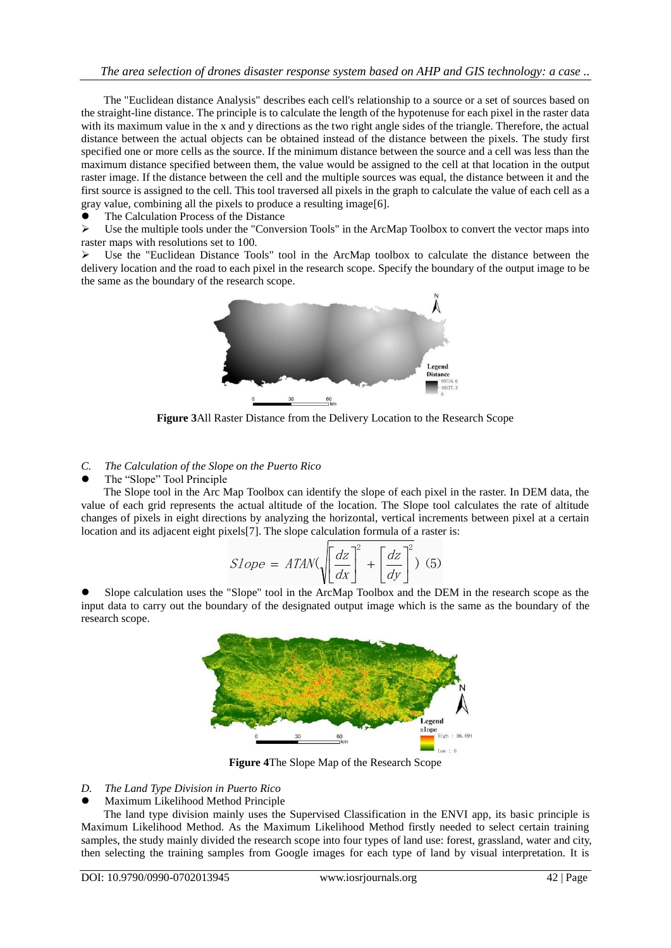The "Euclidean distance Analysis" describes each cell's relationship to a source or a set of sources based on the straight-line distance. The principle is to calculate the length of the hypotenuse for each pixel in the raster data with its maximum value in the x and y directions as the two right angle sides of the triangle. Therefore, the actual distance between the actual objects can be obtained instead of the distance between the pixels. The study first specified one or more cells as the source. If the minimum distance between the source and a cell was less than the maximum distance specified between them, the value would be assigned to the cell at that location in the output raster image. If the distance between the cell and the multiple sources was equal, the distance between it and the first source is assigned to the cell. This tool traversed all pixels in the graph to calculate the value of each cell as a gray value, combining all the pixels to produce a resulting imag[e\[6\].](#page-5-4)

The Calculation Process of the Distance

 $\triangleright$  Use the multiple tools under the "Conversion Tools" in the ArcMap Toolbox to convert the vector maps into raster maps with resolutions set to 100.

 $\triangleright$  Use the "Euclidean Distance Tools" tool in the ArcMap toolbox to calculate the distance between the delivery location and the road to each pixel in the research scope. Specify the boundary of the output image to be the same as the boundary of the research scope.



**Figure 3**All Raster Distance from the Delivery Location to the Research Scope

# *C. The Calculation of the Slope on the Puerto Rico*

The "Slope" Tool Principle

The Slope tool in the Arc Map Toolbox can identify the slope of each pixel in the raster. In DEM data, the value of each grid represents the actual altitude of the location. The Slope tool calculates the rate of altitude changes of pixels in eight directions by analyzing the horizontal, vertical increments between pixel at a certain location and its adjacent eight pixels[7]. The slope calculation formula of a raster is:

$$
Slope = ATAN\left(\sqrt{\frac{dz}{dx}}\right)^{2} + \left[\frac{dz}{dy}\right]^{2} \quad (5)
$$

 Slope calculation uses the "Slope" tool in the ArcMap Toolbox and the DEM in the research scope as the input data to carry out the boundary of the designated output image which is the same as the boundary of the research scope.



**Figure 4**The Slope Map of the Research Scope

- *D. The Land Type Division in Puerto Rico*
- Maximum Likelihood Method Principle

The land type division mainly uses the Supervised Classification in the ENVI app, its basic principle is Maximum Likelihood Method. As the Maximum Likelihood Method firstly needed to select certain training samples, the study mainly divided the research scope into four types of land use: forest, grassland, water and city, then selecting the training samples from Google images for each type of land by visual interpretation. It is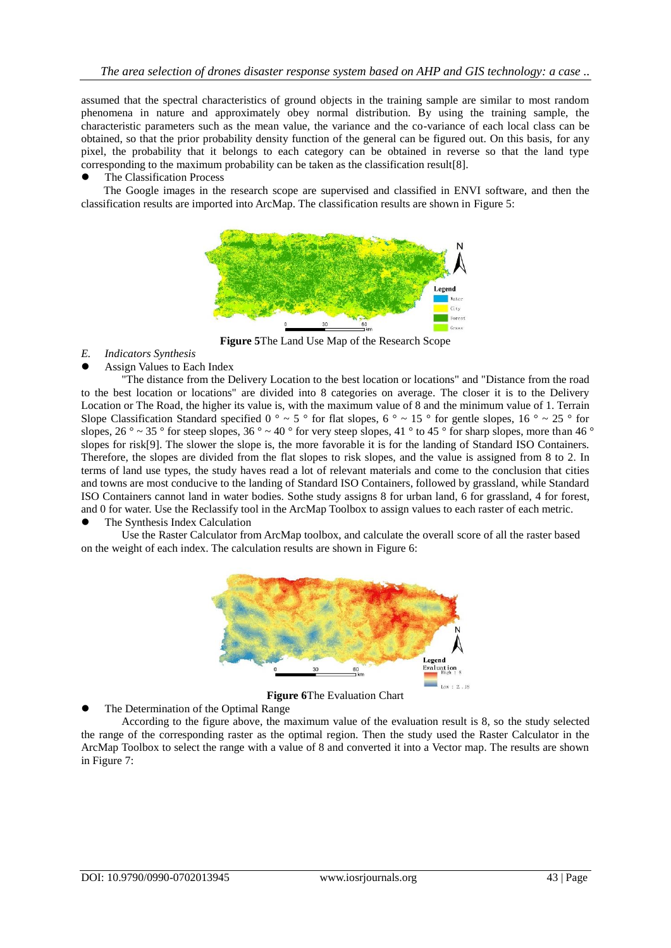assumed that the spectral characteristics of ground objects in the training sample are similar to most random phenomena in nature and approximately obey normal distribution. By using the training sample, the characteristic parameters such as the mean value, the variance and the co-variance of each local class can be obtained, so that the prior probability density function of the general can be figured out. On this basis, for any pixel, the probability that it belongs to each category can be obtained in reverse so that the land type corresponding to the maximum probability can be taken as the classification result[8].

## The Classification Process

The Google images in the research scope are supervised and classified in ENVI software, and then the classification results are imported into ArcMap. The classification results are shown in [Figure 5:](#page-4-0)



**Figure 5**The Land Use Map of the Research Scope

- <span id="page-4-0"></span>*E. Indicators Synthesis*
- Assign Values to Each Index

"The distance from the Delivery Location to the best location or locations" and "Distance from the road to the best location or locations" are divided into 8 categories on average. The closer it is to the Delivery Location or The Road, the higher its value is, with the maximum value of 8 and the minimum value of 1. Terrain Slope Classification Standard specified  $0^\circ \sim 5^\circ$  for flat slopes,  $6^\circ \sim 15^\circ$  for gentle slopes,  $16^\circ \sim 25^\circ$  for slopes,  $26^\circ \sim 35^\circ$  for steep slopes,  $36^\circ \sim 40^\circ$  for very steep slopes,  $41^\circ$  to  $45^\circ$  for sharp slopes, more than  $46^\circ$ slopes for risk[9]. The slower the slope is, the more favorable it is for the landing of Standard ISO Containers. Therefore, the slopes are divided from the flat slopes to risk slopes, and the value is assigned from 8 to 2. In terms of land use types, the study haves read a lot of relevant materials and come to the conclusion that cities and towns are most conducive to the landing of Standard ISO Containers, followed by grassland, while Standard ISO Containers cannot land in water bodies. Sothe study assigns 8 for urban land, 6 for grassland, 4 for forest, and 0 for water. Use the Reclassify tool in the ArcMap Toolbox to assign values to each raster of each metric.

# The Synthesis Index Calculation

Use the Raster Calculator from ArcMap toolbox, and calculate the overall score of all the raster based on the weight of each index. The calculation results are shown in [Figure 6:](#page-4-1)



**Figure 6**The Evaluation Chart

<span id="page-4-1"></span>The Determination of the Optimal Range

According to the figure above, the maximum value of the evaluation result is 8, so the study selected the range of the corresponding raster as the optimal region. Then the study used the Raster Calculator in the ArcMap Toolbox to select the range with a value of 8 and converted it into a Vector map. The results are shown in [Figure 7:](#page-5-5)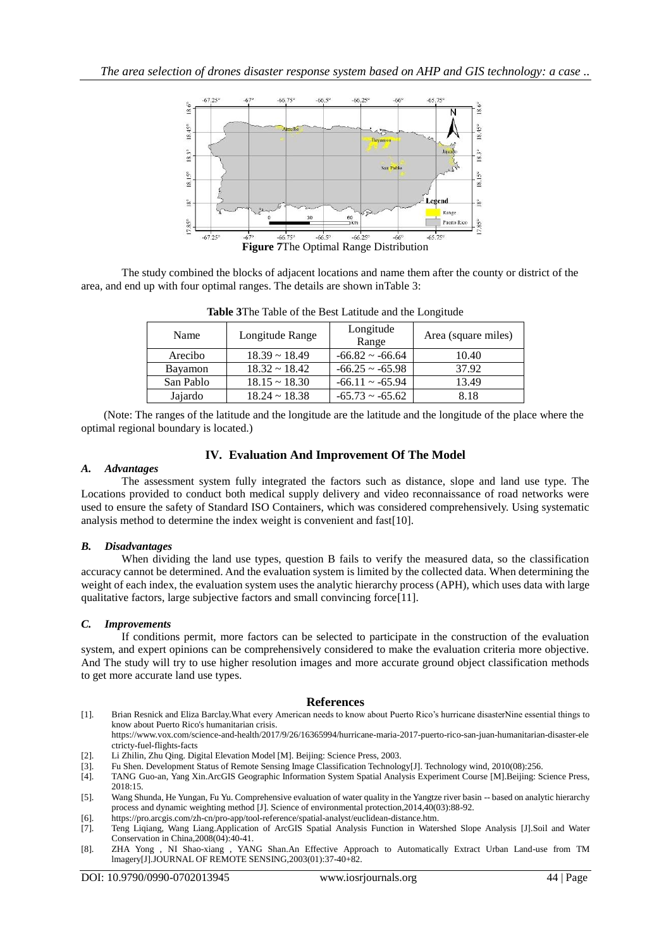

<span id="page-5-6"></span><span id="page-5-5"></span>The study combined the blocks of adjacent locations and name them after the county or district of the area, and end up with four optimal ranges. The details are shown i[nTable 3:](#page-5-6)

| Name      | Longitude Range    | Longitude<br>Range      | Area (square miles) |  |  |
|-----------|--------------------|-------------------------|---------------------|--|--|
| Arecibo   | $18.39 \sim 18.49$ | $-66.82 \sim -66.64$    | 10.40               |  |  |
| Bayamon   | $18.32 \sim 18.42$ | $-66.25 \approx -65.98$ | 37.92               |  |  |
| San Pablo | $18.15 \sim 18.30$ | $-66.11 \approx -65.94$ | 13.49               |  |  |
| Jajardo   | $18.24 \sim 18.38$ | $-65.73 \sim -65.62$    | 8.18                |  |  |

**Table 3**The Table of the Best Latitude and the Longitude

(Note: The ranges of the latitude and the longitude are the latitude and the longitude of the place where the optimal regional boundary is located.)

## **IV. Evaluation And Improvement Of The Model**

### *A. Advantages*

The assessment system fully integrated the factors such as distance, slope and land use type. The Locations provided to conduct both medical supply delivery and video reconnaissance of road networks were used to ensure the safety of Standard ISO Containers, which was considered comprehensively. Using systematic analysis method to determine the index weight is convenient and fas[t\[10\].](#page-6-0)

### *B. Disadvantages*

When dividing the land use types, question B fails to verify the measured data, so the classification accuracy cannot be determined. And the evaluation system is limited by the collected data. When determining the weight of each index, the evaluation system uses the analytic hierarchy process (APH), which uses data with large qualitative factors, large subjective factors and small convincing forc[e\[11\].](#page-6-1)

### *C. Improvements*

If conditions permit, more factors can be selected to participate in the construction of the evaluation system, and expert opinions can be comprehensively considered to make the evaluation criteria more objective. And The study will try to use higher resolution images and more accurate ground object classification methods to get more accurate land use types.

#### **References**

<span id="page-5-0"></span>[1]. Brian Resnick and Eliza Barclay.What every American needs to know about Puerto Rico's hurricane disasterNine essential things to know about Puerto Rico's humanitarian crisis.

https://www.vox.com/science-and-health/2017/9/26/16365994/hurricane-maria-2017-puerto-rico-san-juan-humanitarian-disaster-ele ctricty-fuel-flights-facts

- <span id="page-5-1"></span>[2]. Li Zhilin, Zhu Qing. Digital Elevation Model [M]. Beijing: Science Press, 2003.
- [3]. Fu Shen. Development Status of Remote Sensing Image Classification Technology[J]. Technology wind, 2010(08):256.
- <span id="page-5-2"></span>[4]. TANG Guo-an, Yang Xin.ArcGIS Geographic Information System Spatial Analysis Experiment Course [M].Beijing: Science Press, 2018:15.
- <span id="page-5-3"></span>[5]. Wang Shunda, He Yungan, Fu Yu. Comprehensive evaluation of water quality in the Yangtze river basin -- based on analytic hierarchy process and dynamic weighting method [J]. Science of environmental protection,2014,40(03):88-92.
- <span id="page-5-4"></span>[6]. https://pro.arcgis.com/zh-cn/pro-app/tool-reference/spatial-analyst/euclidean-distance.htm.
- [7]. Teng Liqiang, Wang Liang.Application of ArcGIS Spatial Analysis Function in Watershed Slope Analysis [J].Soil and Water Conservation in China,2008(04):40-41.
- [8]. ZHA Yong , NI Shao-xiang , YANG Shan.An Effective Approach to Automatically Extract Urban Land-use from TM lmagery[J].JOURNAL OF REMOTE SENSING,2003(01):37-40+82.